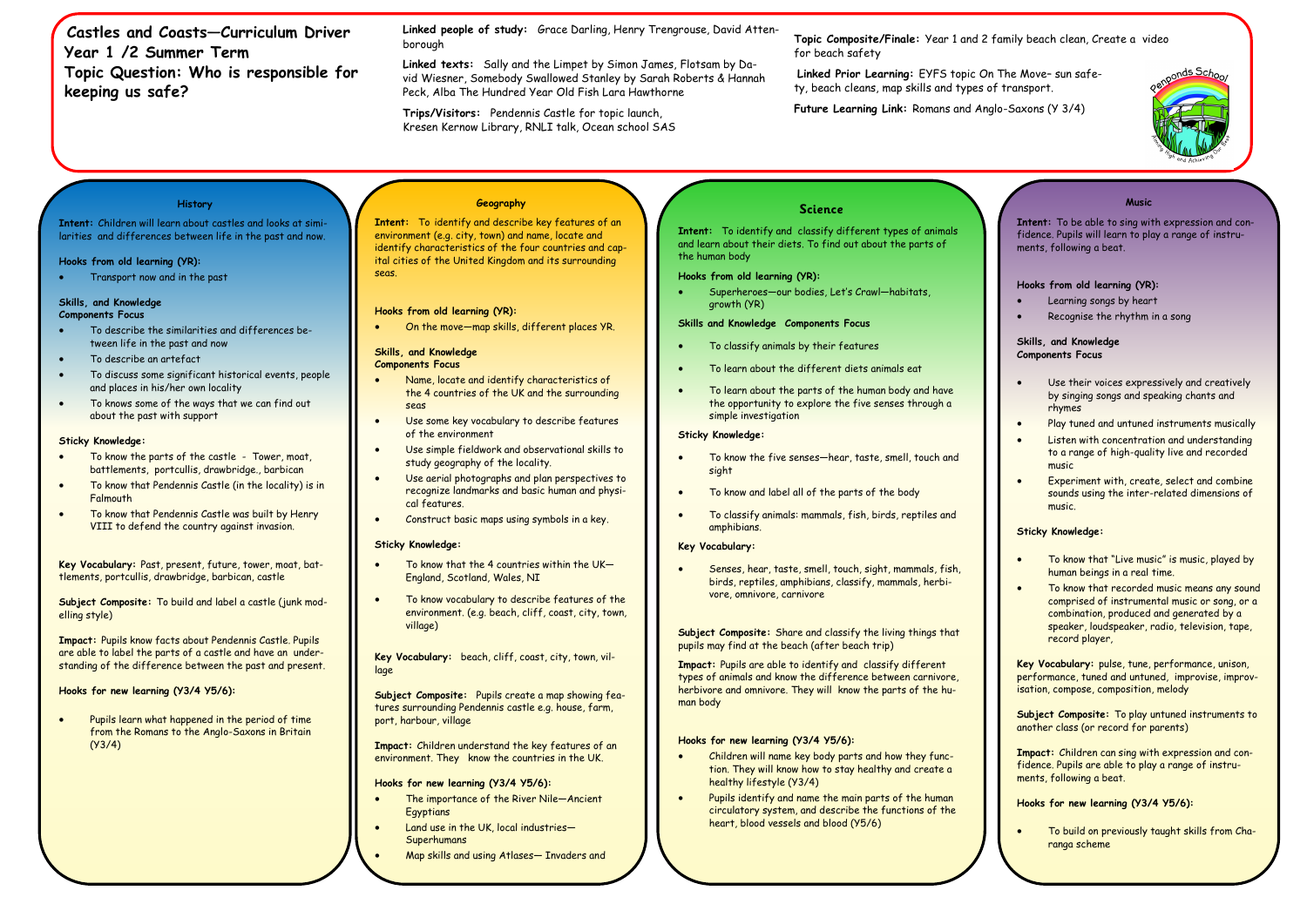**Castles and Coasts—Curriculum Driver Year 1 /2 Summer Term Topic Question: Who is responsible for keeping us safe?** 

## **History**

**Intent:** Children will learn about castles and looks at similarities and differences between life in the past and now.

### **Hooks from old learning (YR):**

• Transport now and in the past

# **Skills, and Knowledge**

## **Components Focus**

- To describe the similarities and differences between life in the past and now
- To describe an artefact
- To discuss some significant historical events, people and places in his/her own locality
- To knows some of the ways that we can find out about the past with support

### **Sticky Knowledge:**

- To know the parts of the castle Tower, moat, battlements, portcullis, drawbridge., barbican
- To know that Pendennis Castle (in the locality) is in **Falmouth**
- To know that Pendennis Castle was built by Henry VIII to defend the country against invasion.

**Key Vocabulary:** Past, present, future, tower, moat, battlements, portcullis, drawbridge, barbican, castle

**Subject Composite:** To build and label a castle (junk modelling style)

**Impact:** Pupils know facts about Pendennis Castle. Pupils are able to label the parts of a castle and have an understanding of the difference between the past and present.

- Name, locate and identify characteristics of the 4 countries of the UK and the surrounding seas
- Use some key vocabulary to describe features of the environment
- Use simple fieldwork and observational skills to study geography of the locality.
- Use aerial photographs and plan perspectives to recognize landmarks and basic human and physical features.
- Construct basic maps using symbols in a key.

## **Hooks for new learning (Y3/4 Y5/6):**

• Pupils learn what happened in the period of time from the Romans to the Anglo-Saxons in Britain (Y3/4)

**Topic Composite/Finale:** Year 1 and 2 family beach clean, Create a video for beach safety

- To know that the 4 countries within the  $UK-$ England, Scotland, Wales, NI
- To know vocabulary to describe features of the environment. (e.g. beach, cliff, coast, city, town, village)

**Linked Prior Learning:** EYFS topic On The Move– sun safety, beach cleans, map skills and types of transport.

**Future Learning Link:** Romans and Anglo-Saxons (Y 3/4)

**Linked people of study:** Grace Darling, Henry Trengrouse, David Attenborough

**Linked texts:** Sally and the Limpet by Simon James, Flotsam by David Wiesner, Somebody Swallowed Stanley by Sarah Roberts & Hannah Peck, Alba The Hundred Year Old Fish Lara Hawthorne

**Trips/Visitors:** Pendennis Castle for topic launch, Kresen Kernow Library, RNLI talk, Ocean school SAS

## **Geography**

**Intent:** To identify and describe key features of an environment (e.g. city, town) and name, locate and identify characteristics of the four countries and capital cities of the United Kingdom and its surrounding seas.

### **Hooks from old learning (YR):**

• On the move—map skills, different places YR.

#### **Skills, and Knowledge Components Focus**

### **Sticky Knowledge:**

**Key Vocabulary:** beach, cliff, coast, city, town, village

**Subject Composite:** Pupils create a map showing features surrounding Pendennis castle e.g. house, farm, port, harbour, village

**Impact:** Children understand the key features of an environment. They know the countries in the UK.

#### **Hooks for new learning (Y3/4 Y5/6):**

- The importance of the River Nile—Ancient **Egyptians**
- Land use in the UK, local industries-Superhumans
- Map skills and using Atlases— Invaders and

## **Science**

**Intent:** To identify and classify different types of animals and learn about their diets. To find out about the parts of the human body

### **Hooks from old learning (YR):**

• Superheroes—our bodies, Let's Crawl—habitats, growth (YR)

## **Skills and Knowledge Components Focus**

- To classify animals by their features
- To learn about the different diets animals eat
- To learn about the parts of the human body and have the opportunity to explore the five senses through a simple investigation

## **Sticky Knowledge:**

- To know the five senses—hear, taste, smell, touch and sight
- To know and label all of the parts of the body
- To classify animals: mammals, fish, birds, reptiles and amphibians.

## **Key Vocabulary:**

• Senses, hear, taste, smell, touch, sight, mammals, fish, birds, reptiles, amphibians, classify, mammals, herbivore, omnivore, carnivore

**Subject Composite:** Share and classify the living things that pupils may find at the beach (after beach trip)

**Impact:** Pupils are able to identify and classify different types of animals and know the difference between carnivore, herbivore and omnivore. They will know the parts of the human body

### **Hooks for new learning (Y3/4 Y5/6):**

- Children will name key body parts and how they function. They will know how to stay healthy and create a healthy lifestyle (Y3/4)
- Pupils identify and name the main parts of the human circulatory system, and describe the functions of the heart, blood vessels and blood (Y5/6)



| <b>Music</b>                                                                                                                                                                                                 |
|--------------------------------------------------------------------------------------------------------------------------------------------------------------------------------------------------------------|
| Intent: To be able to sing with expression and con-<br>fidence. Pupils will learn to play a range of instru-<br>ments, following a beat.                                                                     |
| Hooks from old learning (YR):                                                                                                                                                                                |
| Learning songs by heart                                                                                                                                                                                      |
| Recognise the rhythm in a song                                                                                                                                                                               |
| Skills, and Knowledge<br><b>Components Focus</b>                                                                                                                                                             |
| Use their voices expressively and creatively<br>by singing songs and speaking chants and<br>rhymes                                                                                                           |
| Play tuned and untuned instruments musically                                                                                                                                                                 |
| Listen with concentration and understanding<br>to a range of high-quality live and recorded<br>music                                                                                                         |
| Experiment with, create, select and combine<br>sounds using the inter-related dimensions of<br>music.                                                                                                        |
| <b>Sticky Knowledge:</b>                                                                                                                                                                                     |
| To know that "Live music" is music, played by<br>human beings in a real time.                                                                                                                                |
| To know that recorded music means any sound<br>comprised of instrumental music or song, or a<br>combination, produced and generated by a<br>speaker, loudspeaker, radio, television, tape,<br>record player, |
| Key Vocabulary: pulse, tune, performance, unison,<br>performance, tuned and untuned, improvise, improv-<br>isation, compose, composition, melody                                                             |
| Subject Composite: To play untuned instruments to<br>another class (or record for parents)                                                                                                                   |
| Impact: Children can sing with expression and con-<br>fidence. Pupils are able to play a range of instru-<br>ments, following a beat.                                                                        |
| Hooks for new learning (Y3/4 Y5/6):                                                                                                                                                                          |
| To build on previously taught skills from Cha-<br>ranga scheme                                                                                                                                               |